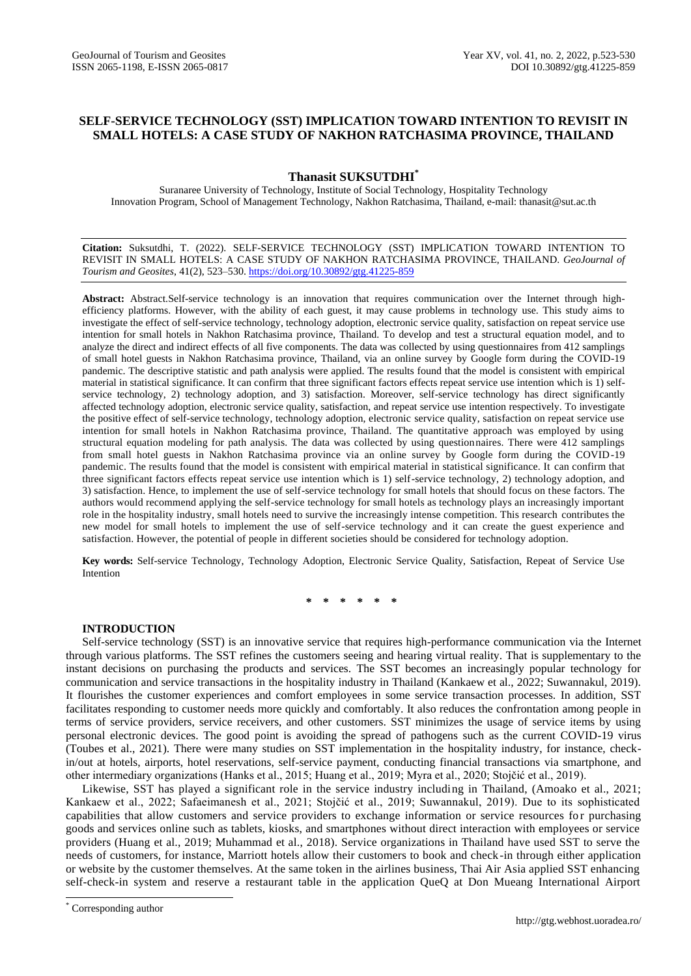# **SELF-SERVICE TECHNOLOGY (SST) IMPLICATION TOWARD INTENTION TO REVISIT IN SMALL HOTELS: A CASE STUDY OF NAKHON RATCHASIMA PROVINCE, THAILAND**

## **Thanasit SUKSUTDHI\***

Suranaree University of Technology, Institute of Social Technology, Hospitality Technology Innovation Program, School of Management Technology, Nakhon Ratchasima, Thailand, e-mail: thanasit@sut.ac.th

**Citation:** Suksutdhi, T. (2022). SELF-SERVICE TECHNOLOGY (SST) IMPLICATION TOWARD INTENTION TO REVISIT IN SMALL HOTELS: A CASE STUDY OF NAKHON RATCHASIMA PROVINCE, THAILAND. *GeoJournal of Tourism and Geosites*, 41(2), 523–530. <https://doi.org/10.30892/gtg.41225-859>

**Abstract:** Abstract.Self-service technology is an innovation that requires communication over the Internet through highefficiency platforms. However, with the ability of each guest, it may cause problems in technology use. This study aims to investigate the effect of self-service technology, technology adoption, electronic service quality, satisfaction on repeat service use intention for small hotels in Nakhon Ratchasima province, Thailand. To develop and test a structural equation model, and to analyze the direct and indirect effects of all five components. The data was collected by using questionnaires from 412 samplings of small hotel guests in Nakhon Ratchasima province, Thailand, via an online survey by Google form during the COVID-19 pandemic. The descriptive statistic and path analysis were applied. The results found that the model is consistent with empirical material in statistical significance. It can confirm that three significant factors effects repeat service use intention which is 1) selfservice technology, 2) technology adoption, and 3) satisfaction. Moreover, self-service technology has direct significantly affected technology adoption, electronic service quality, satisfaction, and repeat service use intention respectively. To investigate the positive effect of self-service technology, technology adoption, electronic service quality, satisfaction on repeat service use intention for small hotels in Nakhon Ratchasima province, Thailand. The quantitative approach was employed by using structural equation modeling for path analysis. The data was collected by using questionnaires. There were 412 samplings from small hotel guests in Nakhon Ratchasima province via an online survey by Google form during the COVID-19 pandemic. The results found that the model is consistent with empirical material in statistical significance. It can confirm that three significant factors effects repeat service use intention which is 1) self-service technology, 2) technology adoption, and 3) satisfaction. Hence, to implement the use of self-service technology for small hotels that should focus on these factors. The authors would recommend applying the self-service technology for small hotels as technology plays an increasingly important role in the hospitality industry, small hotels need to survive the increasingly intense competition. This research contributes the new model for small hotels to implement the use of self-service technology and it can create the guest experience and satisfaction. However, the potential of people in different societies should be considered for technology adoption.

**Key words:** Self-service Technology, Technology Adoption, Electronic Service Quality, Satisfaction, Repeat of Service Use Intention

**\* \* \* \* \* \***

## **INTRODUCTION**

Self-service technology (SST) is an innovative service that requires high-performance communication via the Internet through various platforms. The SST refines the customers seeing and hearing virtual reality. That is supplementary to the instant decisions on purchasing the products and services. The SST becomes an increasingly popular technology for communication and service transactions in the hospitality industry in Thailand (Kankaew et al., 2022; Suwannakul, 2019). It flourishes the customer experiences and comfort employees in some service transaction processes. In addition, SST facilitates responding to customer needs more quickly and comfortably. It also reduces the confrontation among people in terms of service providers, service receivers, and other customers. SST minimizes the usage of service items by using personal electronic devices. The good point is avoiding the spread of pathogens such as the current COVID-19 virus (Toubes et al., 2021). There were many studies on SST implementation in the hospitality industry, for instance, checkin/out at hotels, airports, hotel reservations, self-service payment, conducting financial transactions via smartphone, and other intermediary organizations (Hanks et al., 2015; Huang et al., 2019; Myra et al., 2020; Stojčić et al., 2019).

Likewise, SST has played a significant role in the service industry including in Thailand, (Amoako et al., 2021; Kankaew et al., 2022; Safaeimanesh et al., 2021; Stojčić et al., 2019; Suwannakul, 2019). Due to its sophisticated capabilities that allow customers and service providers to exchange information or service resources for purchasing goods and services online such as tablets, kiosks, and smartphones without direct interaction with employees or service providers (Huang et al., 2019; Muhammad et al., 2018). Service organizations in Thailand have used SST to serve the needs of customers, for instance, Marriott hotels allow their customers to book and check-in through either application or website by the customer themselves. At the same token in the airlines business, Thai Air Asia applied SST enhancing self-check-in system and reserve a restaurant table in the application QueQ at Don Mueang International Airport

 $\overline{a}$ 

<sup>\*</sup> Corresponding author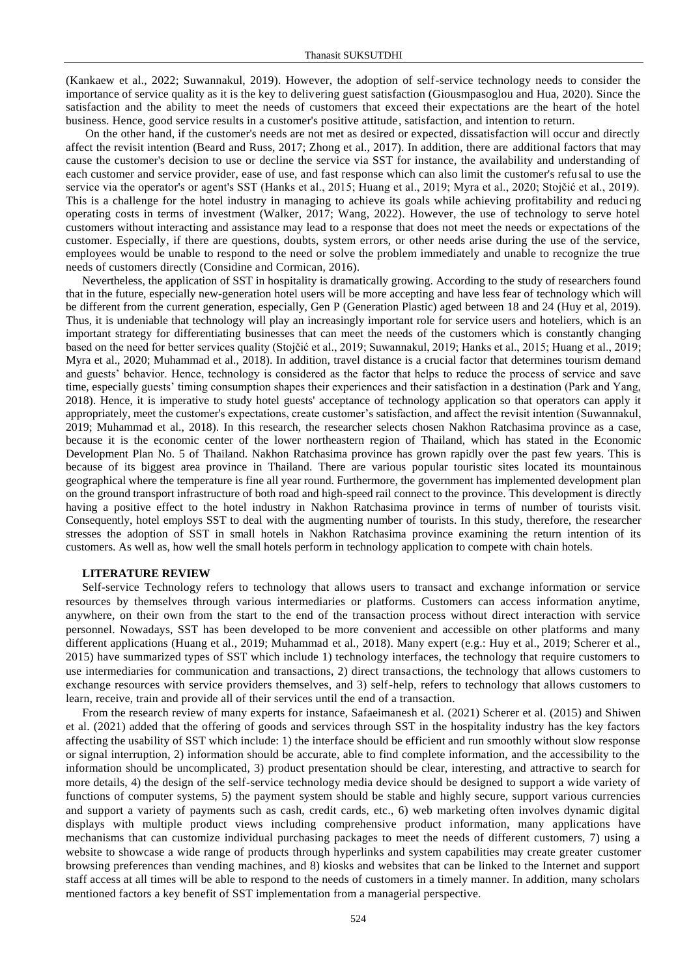(Kankaew et al., 2022; Suwannakul, 2019). However, the adoption of self-service technology needs to consider the importance of service quality as it is the key to delivering guest satisfaction (Giousmpasoglou and Hua, 2020). Since the satisfaction and the ability to meet the needs of customers that exceed their expectations are the heart of the hotel business. Hence, good service results in a customer's positive attitude, satisfaction, and intention to return.

On the other hand, if the customer's needs are not met as desired or expected, dissatisfaction will occur and directly affect the revisit intention (Beard and Russ, 2017; Zhong et al., 2017). In addition, there are additional factors that may cause the customer's decision to use or decline the service via SST for instance, the availability and understanding of each customer and service provider, ease of use, and fast response which can also limit the customer's refu sal to use the service via the operator's or agent's SST (Hanks et al., 2015; Huang et al., 2019; Myra et al., 2020; Stojčić et al., 2019). This is a challenge for the hotel industry in managing to achieve its goals while achieving profitability and reduci ng operating costs in terms of investment (Walker, 2017; Wang, 2022). However, the use of technology to serve hotel customers without interacting and assistance may lead to a response that does not meet the needs or expectations of the customer. Especially, if there are questions, doubts, system errors, or other needs arise during the use of the service, employees would be unable to respond to the need or solve the problem immediately and unable to recognize the true needs of customers directly (Considine and Cormican, 2016).

Nevertheless, the application of SST in hospitality is dramatically growing. According to the study of researchers found that in the future, especially new-generation hotel users will be more accepting and have less fear of technology which will be different from the current generation, especially, Gen P (Generation Plastic) aged between 18 and 24 (Huy et al, 2019). Thus, it is undeniable that technology will play an increasingly important role for service users and hoteliers, which is an important strategy for differentiating businesses that can meet the needs of the customers which is constantly changing based on the need for better services quality (Stojčić et al., 2019; Suwannakul, 2019; Hanks et al., 2015; Huang et al., 2019; Myra et al., 2020; Muhammad et al., 2018). In addition, travel distance is a crucial factor that determines tourism demand and guests' behavior. Hence, technology is considered as the factor that helps to reduce the process of service and save time, especially guests' timing consumption shapes their experiences and their satisfaction in a destination (Park and Yang, 2018). Hence, it is imperative to study hotel guests' acceptance of technology application so that operators can apply it appropriately, meet the customer's expectations, create customer's satisfaction, and affect the revisit intention (Suwannakul, 2019; Muhammad et al., 2018). In this research, the researcher selects chosen Nakhon Ratchasima province as a case, because it is the economic center of the lower northeastern region of Thailand, which has stated in the Economic Development Plan No. 5 of Thailand. Nakhon Ratchasima province has grown rapidly over the past few years. This is because of its biggest area province in Thailand. There are various popular touristic sites located its mountainous geographical where the temperature is fine all year round. Furthermore, the government has implemented development plan on the ground transport infrastructure of both road and high-speed rail connect to the province. This development is directly having a positive effect to the hotel industry in Nakhon Ratchasima province in terms of number of tourists visit. Consequently, hotel employs SST to deal with the augmenting number of tourists. In this study, therefore, the researcher stresses the adoption of SST in small hotels in Nakhon Ratchasima province examining the return intention of its customers. As well as, how well the small hotels perform in technology application to compete with chain hotels.

## **LITERATURE REVIEW**

Self-service Technology refers to technology that allows users to transact and exchange information or service resources by themselves through various intermediaries or platforms. Customers can access information anytime, anywhere, on their own from the start to the end of the transaction process without direct interaction with service personnel. Nowadays, SST has been developed to be more convenient and accessible on other platforms and many different applications (Huang et al., 2019; Muhammad et al., 2018). Many expert (e.g.: Huy et al., 2019; Scherer et al., 2015) have summarized types of SST which include 1) technology interfaces, the technology that require customers to use intermediaries for communication and transactions, 2) direct transactions, the technology that allows customers to exchange resources with service providers themselves, and 3) self-help, refers to technology that allows customers to learn, receive, train and provide all of their services until the end of a transaction.

From the research review of many experts for instance, Safaeimanesh et al. (2021) Scherer et al. (2015) and Shiwen et al. (2021) added that the offering of goods and services through SST in the hospitality industry has the key factors affecting the usability of SST which include: 1) the interface should be efficient and run smoothly without slow response or signal interruption, 2) information should be accurate, able to find complete information, and the accessibility to the information should be uncomplicated, 3) product presentation should be clear, interesting, and attractive to search for more details, 4) the design of the self-service technology media device should be designed to support a wide variety of functions of computer systems, 5) the payment system should be stable and highly secure, support various currencies and support a variety of payments such as cash, credit cards, etc., 6) web marketing often involves dynamic digital displays with multiple product views including comprehensive product information, many applications have mechanisms that can customize individual purchasing packages to meet the needs of different customers, 7) using a website to showcase a wide range of products through hyperlinks and system capabilities may create greater customer browsing preferences than vending machines, and 8) kiosks and websites that can be linked to the Internet and support staff access at all times will be able to respond to the needs of customers in a timely manner. In addition, many scholars mentioned factors a key benefit of SST implementation from a managerial perspective.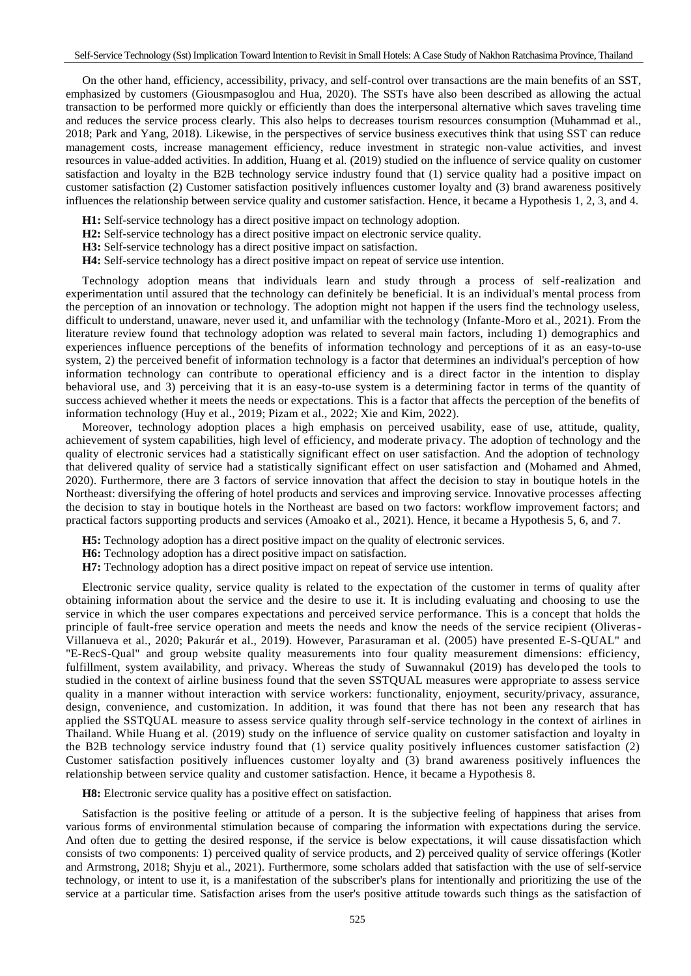On the other hand, efficiency, accessibility, privacy, and self-control over transactions are the main benefits of an SST, emphasized by customers (Giousmpasoglou and Hua, 2020). The SSTs have also been described as allowing the actual transaction to be performed more quickly or efficiently than does the interpersonal alternative which saves traveling time and reduces the service process clearly. This also helps to decreases tourism resources consumption (Muhammad et al., 2018; Park and Yang, 2018). Likewise, in the perspectives of service business executives think that using SST can reduce management costs, increase management efficiency, reduce investment in strategic non-value activities, and invest resources in value-added activities. In addition, Huang et al. (2019) studied on the influence of service quality on customer satisfaction and loyalty in the B2B technology service industry found that (1) service quality had a positive impact on customer satisfaction (2) Customer satisfaction positively influences customer loyalty and (3) brand awareness positively influences the relationship between service quality and customer satisfaction. Hence, it became a Hypothesis 1, 2, 3, and 4.

- **H1:** Self-service technology has a direct positive impact on technology adoption.
- **H2:** Self-service technology has a direct positive impact on electronic service quality.
- **H3:** Self-service technology has a direct positive impact on satisfaction.
- **H4:** Self-service technology has a direct positive impact on repeat of service use intention.

Technology adoption means that individuals learn and study through a process of self-realization and experimentation until assured that the technology can definitely be beneficial. It is an individual's mental process from the perception of an innovation or technology. The adoption might not happen if the users find the technology useless, difficult to understand, unaware, never used it, and unfamiliar with the technology (Infante-Moro et al., 2021). From the literature review found that technology adoption was related to several main factors, including 1) demographics and experiences influence perceptions of the benefits of information technology and perceptions of it as an easy-to-use system, 2) the perceived benefit of information technology is a factor that determines an individual's perception of how information technology can contribute to operational efficiency and is a direct factor in the intention to display behavioral use, and 3) perceiving that it is an easy-to-use system is a determining factor in terms of the quantity of success achieved whether it meets the needs or expectations. This is a factor that affects the perception of the benefits of information technology (Huy et al., 2019; Pizam et al., 2022; Xie and Kim, 2022).

Moreover, technology adoption places a high emphasis on perceived usability, ease of use, attitude, quality, achievement of system capabilities, high level of efficiency, and moderate privacy. The adoption of technology and the quality of electronic services had a statistically significant effect on user satisfaction. And the adoption of technology that delivered quality of service had a statistically significant effect on user satisfaction and (Mohamed and Ahmed, 2020). Furthermore, there are 3 factors of service innovation that affect the decision to stay in boutique hotels in the Northeast: diversifying the offering of hotel products and services and improving service. Innovative processes affecting the decision to stay in boutique hotels in the Northeast are based on two factors: workflow improvement factors; and practical factors supporting products and services (Amoako et al., 2021). Hence, it became a Hypothesis 5, 6, and 7.

- **H5:** Technology adoption has a direct positive impact on the quality of electronic services.
- **H6:** Technology adoption has a direct positive impact on satisfaction.
- **H7:** Technology adoption has a direct positive impact on repeat of service use intention.

Electronic service quality, service quality is related to the expectation of the customer in terms of quality after obtaining information about the service and the desire to use it. It is including evaluating and choosing to use the service in which the user compares expectations and perceived service performance. This is a concept that holds the principle of fault-free service operation and meets the needs and know the needs of the service recipient (Oliveras-Villanueva et al., 2020; Pakurár et al., 2019). However, Parasuraman et al. (2005) have presented E-S-QUAL" and "E-RecS-Qual" and group website quality measurements into four quality measurement dimensions: efficiency, fulfillment, system availability, and privacy. Whereas the study of Suwannakul (2019) has develo ped the tools to studied in the context of airline business found that the seven SSTQUAL measures were appropriate to assess service quality in a manner without interaction with service workers: functionality, enjoyment, security/privacy, assurance, design, convenience, and customization. In addition, it was found that there has not been any research that has applied the SSTQUAL measure to assess service quality through self-service technology in the context of airlines in Thailand. While Huang et al. (2019) study on the influence of service quality on customer satisfaction and loyalty in the B2B technology service industry found that (1) service quality positively influences customer satisfaction (2) Customer satisfaction positively influences customer loyalty and (3) brand awareness positively influences the relationship between service quality and customer satisfaction. Hence, it became a Hypothesis 8.

**H8:** Electronic service quality has a positive effect on satisfaction.

Satisfaction is the positive feeling or attitude of a person. It is the subjective feeling of happiness that arises from various forms of environmental stimulation because of comparing the information with expectations during the service. And often due to getting the desired response, if the service is below expectations, it will cause dissatisfaction which consists of two components: 1) perceived quality of service products, and 2) perceived quality of service offerings (Kotler and Armstrong, 2018; Shyju et al., 2021). Furthermore, some scholars added that satisfaction with the use of self-service technology, or intent to use it, is a manifestation of the subscriber's plans for intentionally and prioritizing the use of the service at a particular time. Satisfaction arises from the user's positive attitude towards such things as the satisfaction of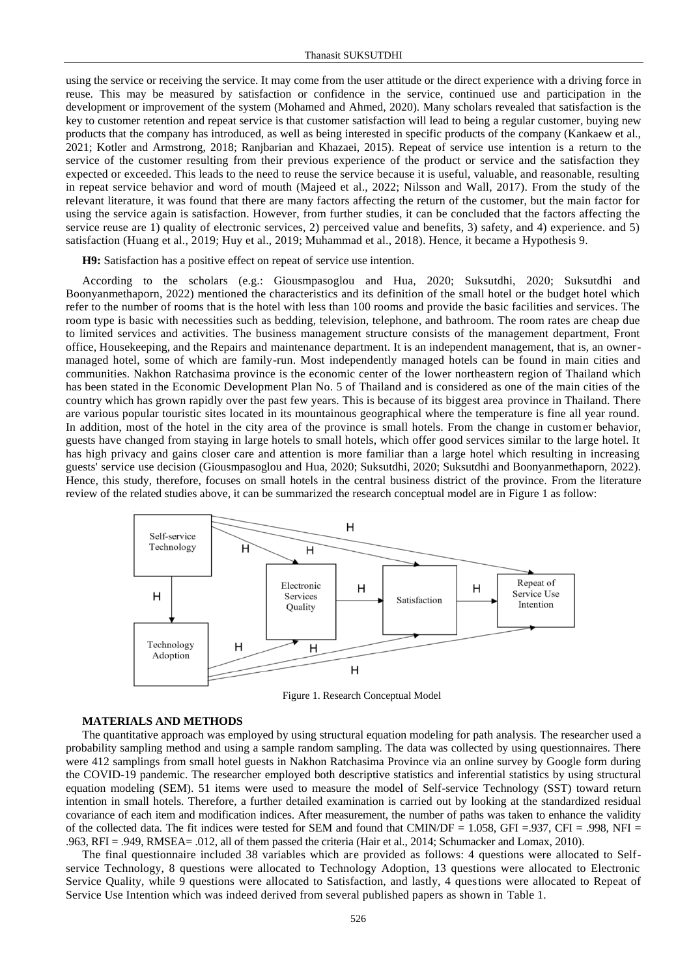using the service or receiving the service. It may come from the user attitude or the direct experience with a driving force in reuse. This may be measured by satisfaction or confidence in the service, continued use and participation in the development or improvement of the system (Mohamed and Ahmed, 2020). Many scholars revealed that satisfaction is the key to customer retention and repeat service is that customer satisfaction will lead to being a regular customer, buying new products that the company has introduced, as well as being interested in specific products of the company (Kankaew et al., 2021; Kotler and Armstrong, 2018; Ranjbarian and Khazaei, 2015). Repeat of service use intention is a return to the service of the customer resulting from their previous experience of the product or service and the satisfaction they expected or exceeded. This leads to the need to reuse the service because it is useful, valuable, and reasonable, resulting in repeat service behavior and word of mouth (Majeed et al., 2022; Nilsson and Wall, 2017). From the study of the relevant literature, it was found that there are many factors affecting the return of the customer, but the main factor for using the service again is satisfaction. However, from further studies, it can be concluded that the factors affecting the service reuse are 1) quality of electronic services, 2) perceived value and benefits, 3) safety, and 4) experience. and 5) satisfaction (Huang et al., 2019; Huy et al., 2019; Muhammad et al., 2018). Hence, it became a Hypothesis 9.

**H9:** Satisfaction has a positive effect on repeat of service use intention.

According to the scholars (e.g.: Giousmpasoglou and Hua, 2020; Suksutdhi, 2020; Suksutdhi and Boonyanmethaporn, 2022) mentioned the characteristics and its definition of the small hotel or the budget hotel which refer to the number of rooms that is the hotel with less than 100 rooms and provide the basic facilities and services. The room type is basic with necessities such as bedding, television, telephone, and bathroom. The room rates are cheap due to limited services and activities. The business management structure consists of the management department, Front office, Housekeeping, and the Repairs and maintenance department. It is an independent management, that is, an ownermanaged hotel, some of which are family-run. Most independently managed hotels can be found in main cities and communities. Nakhon Ratchasima province is the economic center of the lower northeastern region of Thailand which has been stated in the Economic Development Plan No. 5 of Thailand and is considered as one of the main cities of the country which has grown rapidly over the past few years. This is because of its biggest area province in Thailand. There are various popular touristic sites located in its mountainous geographical where the temperature is fine all year round. In addition, most of the hotel in the city area of the province is small hotels. From the change in customer behavior, guests have changed from staying in large hotels to small hotels, which offer good services similar to the large hotel. It has high privacy and gains closer care and attention is more familiar than a large hotel which resulting in increasing guests' service use decision (Giousmpasoglou and Hua, 2020; Suksutdhi, 2020; Suksutdhi and Boonyanmethaporn, 2022). Hence, this study, therefore, focuses on small hotels in the central business district of the province. From the literature review of the related studies above, it can be summarized the research conceptual model are in Figure 1 as follow:



Figure 1. Research Conceptual Model

#### **MATERIALS AND METHODS**

The quantitative approach was employed by using structural equation modeling for path analysis. The researcher used a probability sampling method and using a sample random sampling. The data was collected by using questionnaires. There were 412 samplings from small hotel guests in Nakhon Ratchasima Province via an online survey by Google form during the COVID-19 pandemic. The researcher employed both descriptive statistics and inferential statistics by using structural equation modeling (SEM). 51 items were used to measure the model of Self-service Technology (SST) toward return intention in small hotels. Therefore, a further detailed examination is carried out by looking at the standardized residual covariance of each item and modification indices. After measurement, the number of paths was taken to enhance the validity of the collected data. The fit indices were tested for SEM and found that CMIN/DF =  $1.058$ , GFI = .937, CFI = .998, NFI = .963, RFI = .949, RMSEA= .012, all of them passed the criteria (Hair et al., 2014; Schumacker and Lomax, 2010).

The final questionnaire included 38 variables which are provided as follows: 4 questions were allocated to Selfservice Technology, 8 questions were allocated to Technology Adoption, 13 questions were allocated to Electronic Service Quality, while 9 questions were allocated to Satisfaction, and lastly, 4 questions were allocated to Repeat of Service Use Intention which was indeed derived from several published papers as shown in Table 1.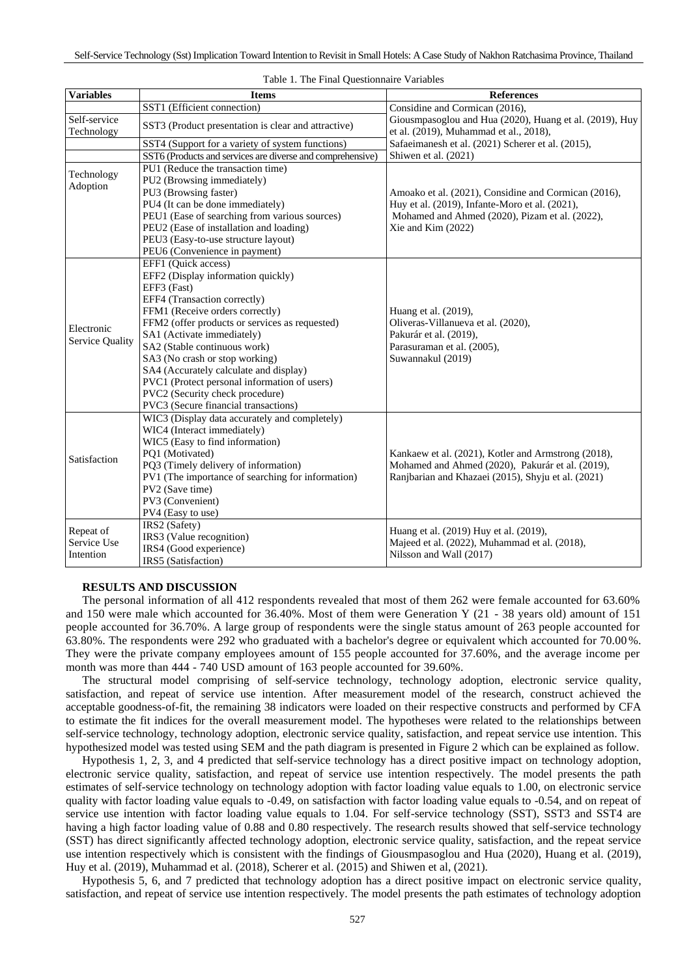| <b>Variables</b>           | <b>Items</b>                                               | <b>References</b>                                                                                                      |  |  |
|----------------------------|------------------------------------------------------------|------------------------------------------------------------------------------------------------------------------------|--|--|
|                            | SST1 (Efficient connection)                                | Considine and Cormican (2016),                                                                                         |  |  |
| Self-service<br>Technology | SST3 (Product presentation is clear and attractive)        | Giousmpasoglou and Hua (2020), Huang et al. (2019), Huy<br>et al. (2019), Muhammad et al., 2018),                      |  |  |
|                            | SST4 (Support for a variety of system functions)           | Safaeimanesh et al. (2021) Scherer et al. (2015),                                                                      |  |  |
|                            | SST6 (Products and services are diverse and comprehensive) | Shiwen et al. (2021)                                                                                                   |  |  |
|                            | PU1 (Reduce the transaction time)                          |                                                                                                                        |  |  |
| Technology                 | PU2 (Browsing immediately)                                 |                                                                                                                        |  |  |
| Adoption                   | PU3 (Browsing faster)                                      | Amoako et al. (2021), Considine and Cormican (2016),                                                                   |  |  |
|                            | PU4 (It can be done immediately)                           | Huy et al. (2019), Infante-Moro et al. (2021),<br>Mohamed and Ahmed (2020), Pizam et al. (2022),<br>Xie and Kim (2022) |  |  |
|                            | PEU1 (Ease of searching from various sources)              |                                                                                                                        |  |  |
|                            | PEU2 (Ease of installation and loading)                    |                                                                                                                        |  |  |
|                            | PEU3 (Easy-to-use structure layout)                        |                                                                                                                        |  |  |
|                            | PEU6 (Convenience in payment)                              |                                                                                                                        |  |  |
| Electronic                 | EFF1 (Ouick access)                                        |                                                                                                                        |  |  |
|                            | EFF2 (Display information quickly)                         |                                                                                                                        |  |  |
|                            | EFF3 (Fast)                                                |                                                                                                                        |  |  |
|                            | EFF4 (Transaction correctly)                               |                                                                                                                        |  |  |
|                            | FFM1 (Receive orders correctly)                            | Huang et al. (2019),                                                                                                   |  |  |
|                            | FFM2 (offer products or services as requested)             | Oliveras-Villanueva et al. (2020),                                                                                     |  |  |
|                            | SA1 (Activate immediately)                                 | Pakurár et al. (2019),                                                                                                 |  |  |
| Service Quality            | SA2 (Stable continuous work)                               | Parasuraman et al. (2005),                                                                                             |  |  |
|                            | SA3 (No crash or stop working)                             | Suwannakul (2019)                                                                                                      |  |  |
|                            | SA4 (Accurately calculate and display)                     |                                                                                                                        |  |  |
|                            | PVC1 (Protect personal information of users)               |                                                                                                                        |  |  |
|                            | PVC2 (Security check procedure)                            |                                                                                                                        |  |  |
|                            | PVC3 (Secure financial transactions)                       |                                                                                                                        |  |  |
| Satisfaction               | WIC3 (Display data accurately and completely)              |                                                                                                                        |  |  |
|                            | WIC4 (Interact immediately)                                |                                                                                                                        |  |  |
|                            | WIC5 (Easy to find information)                            |                                                                                                                        |  |  |
|                            | PQ1 (Motivated)                                            | Kankaew et al. (2021), Kotler and Armstrong (2018),                                                                    |  |  |
|                            | PQ3 (Timely delivery of information)                       | Mohamed and Ahmed (2020), Pakurár et al. (2019),                                                                       |  |  |
|                            | PV1 (The importance of searching for information)          | Ranjbarian and Khazaei (2015), Shyju et al. (2021)                                                                     |  |  |
|                            | PV2 (Save time)                                            |                                                                                                                        |  |  |
|                            | PV3 (Convenient)                                           |                                                                                                                        |  |  |
|                            | PV4 (Easy to use)                                          |                                                                                                                        |  |  |
| Repeat of                  | IRS2 (Safety)                                              | Huang et al. (2019) Huy et al. (2019),                                                                                 |  |  |
| Service Use                | IRS3 (Value recognition)                                   | Majeed et al. (2022), Muhammad et al. (2018),                                                                          |  |  |
| Intention                  | IRS4 (Good experience)                                     | Nilsson and Wall (2017)                                                                                                |  |  |
|                            | IRS5 (Satisfaction)                                        |                                                                                                                        |  |  |

|  | Table 1. The Final Questionnaire Variables |  |
|--|--------------------------------------------|--|
|  |                                            |  |

## **RESULTS AND DISCUSSION**

The personal information of all 412 respondents revealed that most of them 262 were female accounted for 63.60% and 150 were male which accounted for 36.40%. Most of them were Generation Y (21 - 38 years old) amount of 151 people accounted for 36.70%. A large group of respondents were the single status amount of 263 people accounted for 63.80%. The respondents were 292 who graduated with a bachelor's degree or equivalent which accounted for 70.00 %. They were the private company employees amount of 155 people accounted for 37.60%, and the average income per month was more than 444 - 740 USD amount of 163 people accounted for 39.60%.

The structural model comprising of self-service technology, technology adoption, electronic service quality, satisfaction, and repeat of service use intention. After measurement model of the research, construct achieved the acceptable goodness-of-fit, the remaining 38 indicators were loaded on their respective constructs and performed by CFA to estimate the fit indices for the overall measurement model. The hypotheses were related to the relationships between self-service technology, technology adoption, electronic service quality, satisfaction, and repeat service use intention. This hypothesized model was tested using SEM and the path diagram is presented in Figure 2 which can be explained as follow.

Hypothesis 1, 2, 3, and 4 predicted that self-service technology has a direct positive impact on technology adoption, electronic service quality, satisfaction, and repeat of service use intention respectively. The model presents the path estimates of self-service technology on technology adoption with factor loading value equals to 1.00, on electronic service quality with factor loading value equals to -0.49, on satisfaction with factor loading value equals to -0.54, and on repeat of service use intention with factor loading value equals to 1.04. For self-service technology (SST), SST3 and SST4 are having a high factor loading value of 0.88 and 0.80 respectively. The research results showed that self-service technology (SST) has direct significantly affected technology adoption, electronic service quality, satisfaction, and the repeat service use intention respectively which is consistent with the findings of Giousmpasoglou and Hua (2020), Huang et al. (2019), Huy et al. (2019), Muhammad et al. (2018), Scherer et al. (2015) and Shiwen et al, (2021).

Hypothesis 5, 6, and 7 predicted that technology adoption has a direct positive impact on electronic service quality, satisfaction, and repeat of service use intention respectively. The model presents the path estimates of technology adoption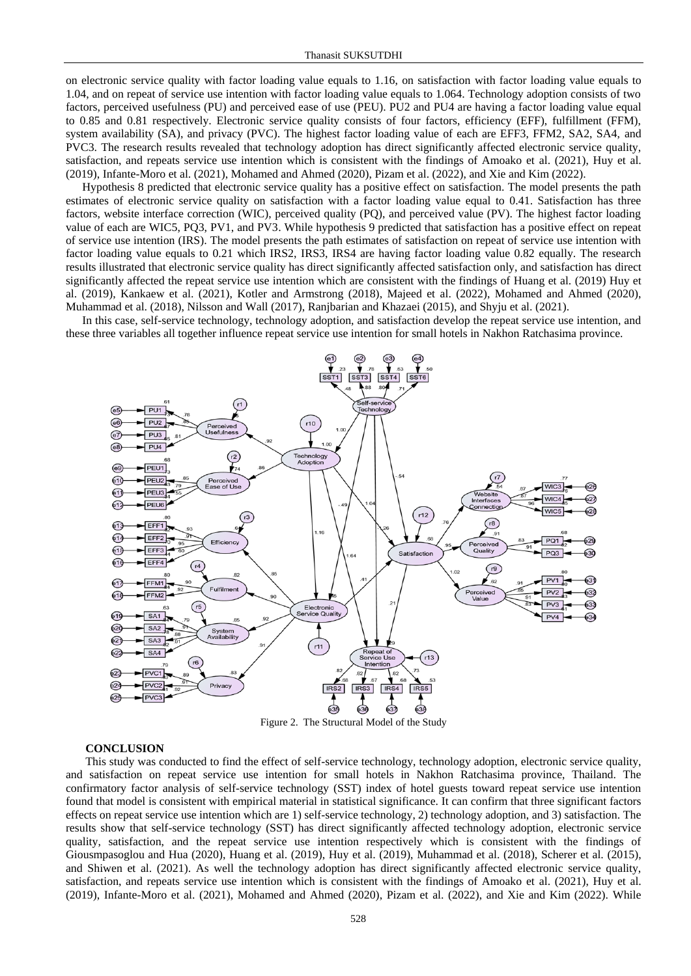on electronic service quality with factor loading value equals to 1.16, on satisfaction with factor loading value equals to 1.04, and on repeat of service use intention with factor loading value equals to 1.064. Technology adoption consists of two factors, perceived usefulness (PU) and perceived ease of use (PEU). PU2 and PU4 are having a factor loading value equal to 0.85 and 0.81 respectively. Electronic service quality consists of four factors, efficiency (EFF), fulfillment (FFM), system availability (SA), and privacy (PVC). The highest factor loading value of each are EFF3, FFM2, SA2, SA4, and PVC3. The research results revealed that technology adoption has direct significantly affected electronic service quality, satisfaction, and repeats service use intention which is consistent with the findings of Amoako et al. (2021), Huy et al. (2019), Infante-Moro et al. (2021), Mohamed and Ahmed (2020), Pizam et al. (2022), and Xie and Kim (2022).

Hypothesis 8 predicted that electronic service quality has a positive effect on satisfaction. The model presents the path estimates of electronic service quality on satisfaction with a factor loading value equal to 0.41. Satisfaction has three factors, website interface correction (WIC), perceived quality (PQ), and perceived value (PV). The highest factor loading value of each are WIC5, PQ3, PV1, and PV3. While hypothesis 9 predicted that satisfaction has a positive effect on repeat of service use intention (IRS). The model presents the path estimates of satisfaction on repeat of service use intention with factor loading value equals to 0.21 which IRS2, IRS3, IRS4 are having factor loading value 0.82 equally. The research results illustrated that electronic service quality has direct significantly affected satisfaction only, and satisfaction has direct significantly affected the repeat service use intention which are consistent with the findings of Huang et al. (2019) Huy et al. (2019), Kankaew et al. (2021), Kotler and Armstrong (2018), Majeed et al. (2022), Mohamed and Ahmed (2020), Muhammad et al. (2018), Nilsson and Wall (2017), Ranjbarian and Khazaei (2015), and Shyju et al. (2021).

In this case, self-service technology, technology adoption, and satisfaction develop the repeat service use intention, and these three variables all together influence repeat service use intention for small hotels in Nakhon Ratchasima province.



Figure 2. The Structural Model of the Study

### **CONCLUSION**

This study was conducted to find the effect of self-service technology, technology adoption, electronic service quality, and satisfaction on repeat service use intention for small hotels in Nakhon Ratchasima province, Thailand. The confirmatory factor analysis of self-service technology (SST) index of hotel guests toward repeat service use intention found that model is consistent with empirical material in statistical significance. It can confirm that three significant factors effects on repeat service use intention which are 1) self-service technology, 2) technology adoption, and 3) satisfaction. The results show that self-service technology (SST) has direct significantly affected technology adoption, electronic service quality, satisfaction, and the repeat service use intention respectively which is consistent with the findings of Giousmpasoglou and Hua (2020), Huang et al. (2019), Huy et al. (2019), Muhammad et al. (2018), Scherer et al. (2015), and Shiwen et al. (2021). As well the technology adoption has direct significantly affected electronic service quality, satisfaction, and repeats service use intention which is consistent with the findings of Amoako et al. (2021), Huy et al. (2019), Infante-Moro et al. (2021), Mohamed and Ahmed (2020), Pizam et al. (2022), and Xie and Kim (2022). While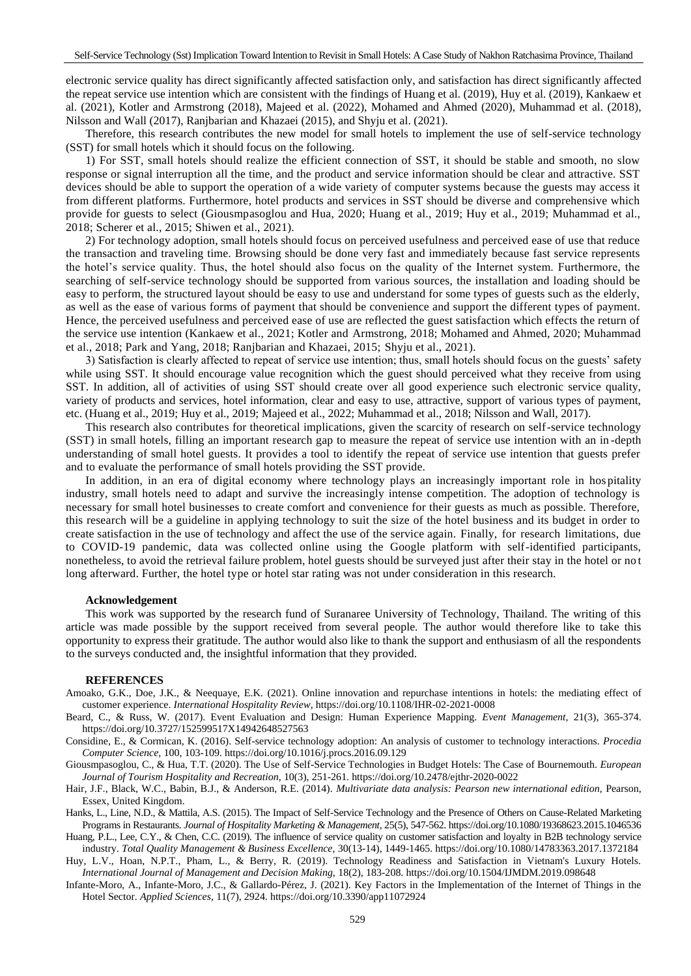electronic service quality has direct significantly affected satisfaction only, and satisfaction has direct significantly affected the repeat service use intention which are consistent with the findings of Huang et al. (2019), Huy et al. (2019), Kankaew et al. (2021), Kotler and Armstrong (2018), Majeed et al. (2022), Mohamed and Ahmed (2020), Muhammad et al. (2018), Nilsson and Wall (2017), Ranjbarian and Khazaei (2015), and Shyju et al. (2021).

Therefore, this research contributes the new model for small hotels to implement the use of self-service technology (SST) for small hotels which it should focus on the following.

1) For SST, small hotels should realize the efficient connection of SST, it should be stable and smooth, no slow response or signal interruption all the time, and the product and service information should be clear and attractive. SST devices should be able to support the operation of a wide variety of computer systems because the guests may access it from different platforms. Furthermore, hotel products and services in SST should be diverse and comprehensive which provide for guests to select (Giousmpasoglou and Hua, 2020; Huang et al., 2019; Huy et al., 2019; Muhammad et al., 2018; Scherer et al., 2015; Shiwen et al., 2021).

2) For technology adoption, small hotels should focus on perceived usefulness and perceived ease of use that reduce the transaction and traveling time. Browsing should be done very fast and immediately because fast service represents the hotel's service quality. Thus, the hotel should also focus on the quality of the Internet system. Furthermore, the searching of self-service technology should be supported from various sources, the installation and loading should be easy to perform, the structured layout should be easy to use and understand for some types of guests such as the elderly, as well as the ease of various forms of payment that should be convenience and support the different types of payment. Hence, the perceived usefulness and perceived ease of use are reflected the guest satisfaction which effects the return of the service use intention (Kankaew et al., 2021; Kotler and Armstrong, 2018; Mohamed and Ahmed, 2020; Muhammad et al., 2018; Park and Yang, 2018; Ranjbarian and Khazaei, 2015; Shyju et al., 2021).

3) Satisfaction is clearly affected to repeat of service use intention; thus, small hotels should focus on the guests' safety while using SST. It should encourage value recognition which the guest should perceived what they receive from using SST. In addition, all of activities of using SST should create over all good experience such electronic service quality, variety of products and services, hotel information, clear and easy to use, attractive, support of various types of payment, etc. (Huang et al., 2019; Huy et al., 2019; Majeed et al., 2022; Muhammad et al., 2018; Nilsson and Wall, 2017).

This research also contributes for theoretical implications, given the scarcity of research on self-service technology (SST) in small hotels, filling an important research gap to measure the repeat of service use intention with an in -depth understanding of small hotel guests. It provides a tool to identify the repeat of service use intention that guests prefer and to evaluate the performance of small hotels providing the SST provide.

In addition, in an era of digital economy where technology plays an increasingly important role in hos pitality industry, small hotels need to adapt and survive the increasingly intense competition. The adoption of technology is necessary for small hotel businesses to create comfort and convenience for their guests as much as possible. Therefore, this research will be a guideline in applying technology to suit the size of the hotel business and its budget in order to create satisfaction in the use of technology and affect the use of the service again. Finally, for research limitations, due to COVID-19 pandemic, data was collected online using the Google platform with self-identified participants, nonetheless, to avoid the retrieval failure problem, hotel guests should be surveyed just after their stay in the hotel or no t long afterward. Further, the hotel type or hotel star rating was not under consideration in this research.

#### **Acknowledgement**

This work was supported by the research fund of Suranaree University of Technology, Thailand. The writing of this article was made possible by the support received from several people. The author would therefore like to take this opportunity to express their gratitude. The author would also like to thank the support and enthusiasm of all the respondents to the surveys conducted and, the insightful information that they provided.

## **REFERENCES**

- Amoako, G.K., Doe, J.K., & Neequaye, E.K. (2021). Online innovation and repurchase intentions in hotels: the mediating effect of customer experience. *International Hospitality Review,* https://doi.org/10.1108/IHR-02-2021-0008
- Beard, C., & Russ, W. (2017). Event Evaluation and Design: Human Experience Mapping. *Event Management,* 21(3), 365-374. https://doi.org/10.3727/152599517X14942648527563
- Considine, E., & Cormican, K. (2016). Self-service technology adoption: An analysis of customer to technology interactions. *Procedia Computer Science,* 100, 103-109. https://doi.org/10.1016/j.procs.2016.09.129
- Giousmpasoglou, C., & Hua, T.T. (2020). The Use of Self-Service Technologies in Budget Hotels: The Case of Bournemouth. *European Journal of Tourism Hospitality and Recreation,* 10(3), 251-261. https://doi.org/10.2478/ejthr-2020-0022
- Hair, J.F., Black, W.C., Babin, B.J., & Anderson, R.E. (2014). *Multivariate data analysis: Pearson new international edition*, Pearson, Essex, United Kingdom.
- Hanks, L., Line, N.D., & Mattila, A.S. (2015). The Impact of Self-Service Technology and the Presence of Others on Cause-Related Marketing Programs in Restaurants. *Journal of Hospitality Marketing & Management,* 25(5), 547-562. https://doi.org/10.1080/19368623.2015.1046536

Huang, P.L., Lee, C.Y., & Chen, C.C. (2019). The influence of service quality on customer satisfaction and loyalty in B2B technology service industry. *Total Quality Management & Business Excellence,* 30(13-14), 1449-1465. https://doi.org/10.1080/14783363.2017.1372184 Huy, L.V., Hoan, N.P.T., Pham, L., & Berry, R. (2019). Technology Readiness and Satisfaction in Vietnam's Luxury Hotels.

- *International Journal of Management and Decision Making,* 18(2), 183-208. https://doi.org/10.1504/IJMDM.2019.098648
- Infante-Moro, A., Infante-Moro, J.C., & Gallardo-Pérez, J. (2021). Key Factors in the Implementation of the Internet of Things in the Hotel Sector. *Applied Sciences,* 11(7), 2924. https://doi.org/10.3390/app11072924